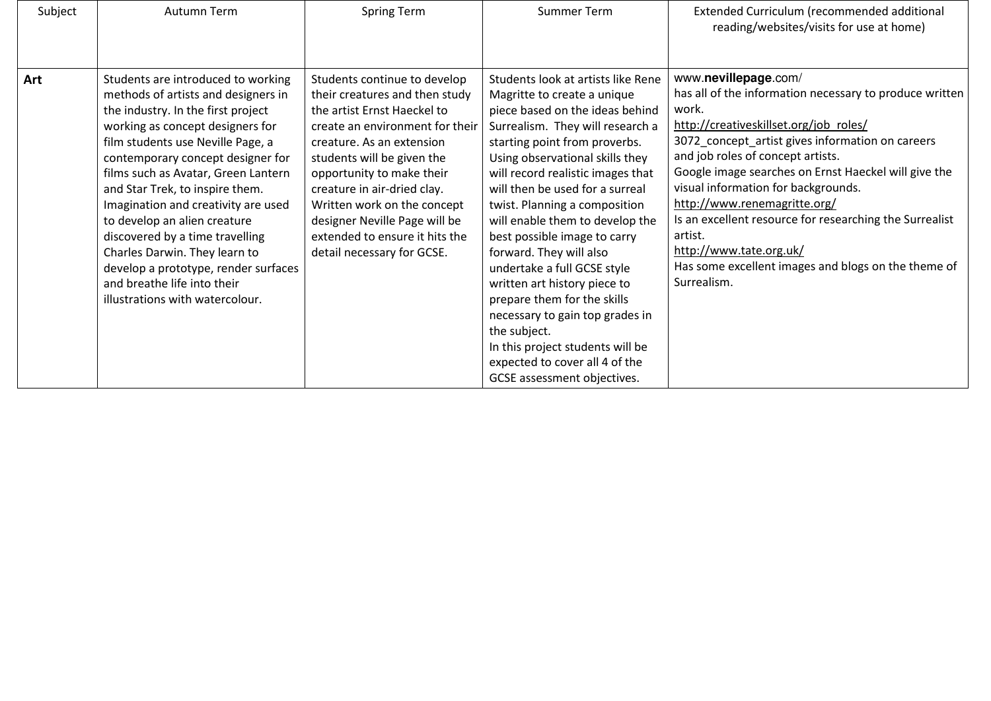| Subject | Autumn Term                                                                                                                                                                                                                                                                                                                                                                                                                                                                                                                                                  | <b>Spring Term</b>                                                                                                                                                                                                                                                                                                                                                                      | <b>Summer Term</b>                                                                                                                                                                                                                                                                                                                                                                                                                                                                                                                                                                                                                                                        | Extended Curriculum (recommended additional<br>reading/websites/visits for use at home)                                                                                                                                                                                                                                                                                                                                                                                                                                           |
|---------|--------------------------------------------------------------------------------------------------------------------------------------------------------------------------------------------------------------------------------------------------------------------------------------------------------------------------------------------------------------------------------------------------------------------------------------------------------------------------------------------------------------------------------------------------------------|-----------------------------------------------------------------------------------------------------------------------------------------------------------------------------------------------------------------------------------------------------------------------------------------------------------------------------------------------------------------------------------------|---------------------------------------------------------------------------------------------------------------------------------------------------------------------------------------------------------------------------------------------------------------------------------------------------------------------------------------------------------------------------------------------------------------------------------------------------------------------------------------------------------------------------------------------------------------------------------------------------------------------------------------------------------------------------|-----------------------------------------------------------------------------------------------------------------------------------------------------------------------------------------------------------------------------------------------------------------------------------------------------------------------------------------------------------------------------------------------------------------------------------------------------------------------------------------------------------------------------------|
| Art     | Students are introduced to working<br>methods of artists and designers in<br>the industry. In the first project<br>working as concept designers for<br>film students use Neville Page, a<br>contemporary concept designer for<br>films such as Avatar, Green Lantern<br>and Star Trek, to inspire them.<br>Imagination and creativity are used<br>to develop an alien creature<br>discovered by a time travelling<br>Charles Darwin. They learn to<br>develop a prototype, render surfaces<br>and breathe life into their<br>illustrations with watercolour. | Students continue to develop<br>their creatures and then study<br>the artist Ernst Haeckel to<br>create an environment for their<br>creature. As an extension<br>students will be given the<br>opportunity to make their<br>creature in air-dried clay.<br>Written work on the concept<br>designer Neville Page will be<br>extended to ensure it hits the<br>detail necessary for GCSE. | Students look at artists like Rene<br>Magritte to create a unique<br>piece based on the ideas behind<br>Surrealism. They will research a<br>starting point from proverbs.<br>Using observational skills they<br>will record realistic images that<br>will then be used for a surreal<br>twist. Planning a composition<br>will enable them to develop the<br>best possible image to carry<br>forward. They will also<br>undertake a full GCSE style<br>written art history piece to<br>prepare them for the skills<br>necessary to gain top grades in<br>the subject.<br>In this project students will be<br>expected to cover all 4 of the<br>GCSE assessment objectives. | www.nevillepage.com/<br>has all of the information necessary to produce written<br>work.<br>http://creativeskillset.org/job roles/<br>3072_concept_artist gives information on careers<br>and job roles of concept artists.<br>Google image searches on Ernst Haeckel will give the<br>visual information for backgrounds.<br>http://www.renemagritte.org/<br>Is an excellent resource for researching the Surrealist<br>artist.<br>http://www.tate.org.uk/<br>Has some excellent images and blogs on the theme of<br>Surrealism. |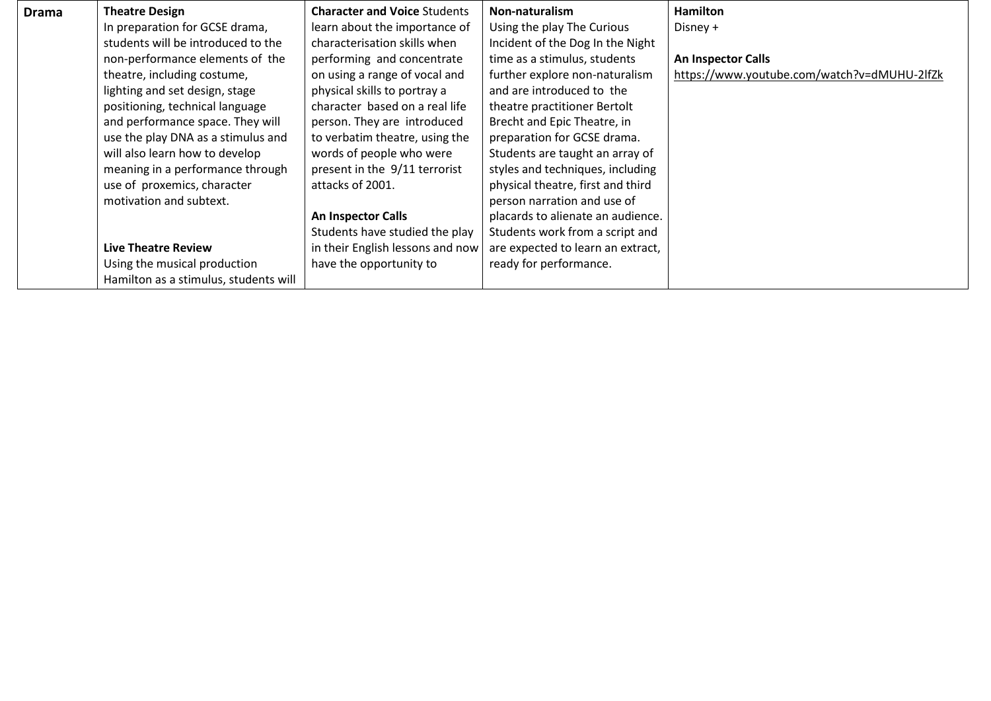| Drama | <b>Theatre Design</b>                 | <b>Character and Voice Students</b> | Non-naturalism                    | <b>Hamilton</b>                             |
|-------|---------------------------------------|-------------------------------------|-----------------------------------|---------------------------------------------|
|       | In preparation for GCSE drama,        | learn about the importance of       | Using the play The Curious        | Disney +                                    |
|       | students will be introduced to the    | characterisation skills when        | Incident of the Dog In the Night  |                                             |
|       | non-performance elements of the       | performing and concentrate          | time as a stimulus, students      | An Inspector Calls                          |
|       | theatre, including costume,           | on using a range of vocal and       | further explore non-naturalism    | https://www.youtube.com/watch?v=dMUHU-2lfZk |
|       | lighting and set design, stage        | physical skills to portray a        | and are introduced to the         |                                             |
|       | positioning, technical language       | character based on a real life      | theatre practitioner Bertolt      |                                             |
|       | and performance space. They will      | person. They are introduced         | Brecht and Epic Theatre, in       |                                             |
|       | use the play DNA as a stimulus and    | to verbatim theatre, using the      | preparation for GCSE drama.       |                                             |
|       | will also learn how to develop        | words of people who were            | Students are taught an array of   |                                             |
|       | meaning in a performance through      | present in the 9/11 terrorist       | styles and techniques, including  |                                             |
|       | use of proxemics, character           | attacks of 2001.                    | physical theatre, first and third |                                             |
|       | motivation and subtext.               |                                     | person narration and use of       |                                             |
|       |                                       | <b>An Inspector Calls</b>           | placards to alienate an audience. |                                             |
|       |                                       | Students have studied the play      | Students work from a script and   |                                             |
|       | <b>Live Theatre Review</b>            | in their English lessons and now    | are expected to learn an extract, |                                             |
|       | Using the musical production          | have the opportunity to             | ready for performance.            |                                             |
|       | Hamilton as a stimulus, students will |                                     |                                   |                                             |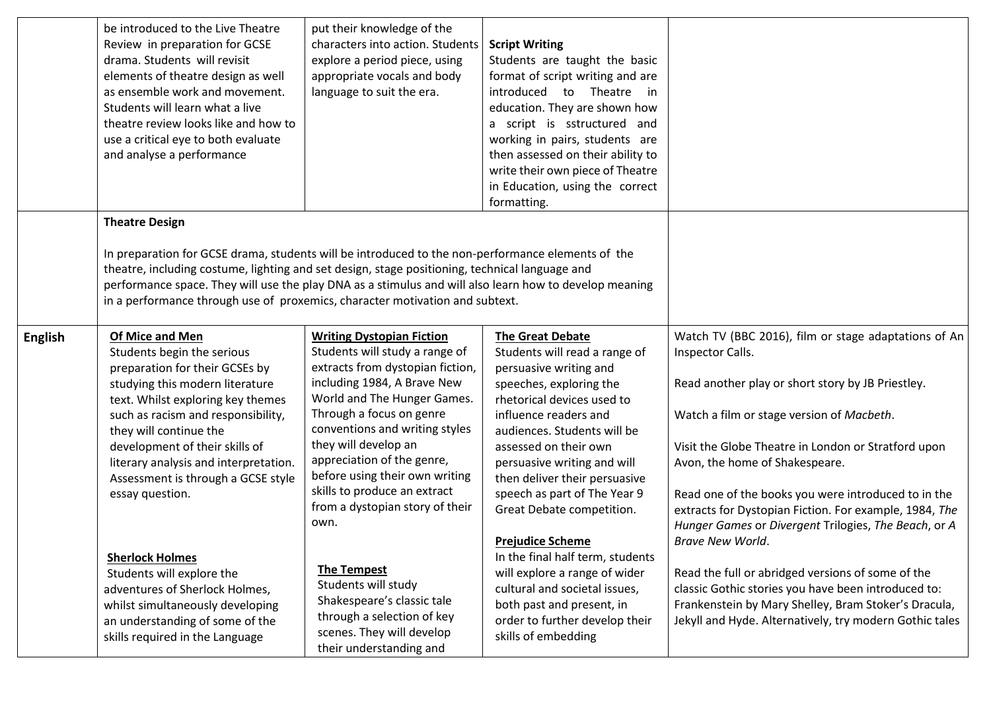|                | be introduced to the Live Theatre<br>Review in preparation for GCSE<br>drama. Students will revisit<br>elements of theatre design as well<br>as ensemble work and movement.<br>Students will learn what a live<br>theatre review looks like and how to<br>use a critical eye to both evaluate<br>and analyse a performance                                                                                                                                                                                                                                     | put their knowledge of the<br>characters into action. Students<br>explore a period piece, using<br>appropriate vocals and body<br>language to suit the era.                                                                                                                                                                                                                                                                                                                                                                                                            | <b>Script Writing</b><br>Students are taught the basic<br>format of script writing and are<br>introduced to Theatre<br>in<br>education. They are shown how<br>a script is sstructured and<br>working in pairs, students are<br>then assessed on their ability to<br>write their own piece of Theatre<br>in Education, using the correct<br>formatting.                                                                                                                                                                                                                           |                                                                                                                                                                                                                                                                                                                                                                                                                                                                                                                                                                                                                                                                                                 |
|----------------|----------------------------------------------------------------------------------------------------------------------------------------------------------------------------------------------------------------------------------------------------------------------------------------------------------------------------------------------------------------------------------------------------------------------------------------------------------------------------------------------------------------------------------------------------------------|------------------------------------------------------------------------------------------------------------------------------------------------------------------------------------------------------------------------------------------------------------------------------------------------------------------------------------------------------------------------------------------------------------------------------------------------------------------------------------------------------------------------------------------------------------------------|----------------------------------------------------------------------------------------------------------------------------------------------------------------------------------------------------------------------------------------------------------------------------------------------------------------------------------------------------------------------------------------------------------------------------------------------------------------------------------------------------------------------------------------------------------------------------------|-------------------------------------------------------------------------------------------------------------------------------------------------------------------------------------------------------------------------------------------------------------------------------------------------------------------------------------------------------------------------------------------------------------------------------------------------------------------------------------------------------------------------------------------------------------------------------------------------------------------------------------------------------------------------------------------------|
|                | <b>Theatre Design</b><br>In preparation for GCSE drama, students will be introduced to the non-performance elements of the<br>theatre, including costume, lighting and set design, stage positioning, technical language and<br>performance space. They will use the play DNA as a stimulus and will also learn how to develop meaning<br>in a performance through use of proxemics, character motivation and subtext.                                                                                                                                         |                                                                                                                                                                                                                                                                                                                                                                                                                                                                                                                                                                        |                                                                                                                                                                                                                                                                                                                                                                                                                                                                                                                                                                                  |                                                                                                                                                                                                                                                                                                                                                                                                                                                                                                                                                                                                                                                                                                 |
| <b>English</b> | Of Mice and Men<br>Students begin the serious<br>preparation for their GCSEs by<br>studying this modern literature<br>text. Whilst exploring key themes<br>such as racism and responsibility,<br>they will continue the<br>development of their skills of<br>literary analysis and interpretation.<br>Assessment is through a GCSE style<br>essay question.<br><b>Sherlock Holmes</b><br>Students will explore the<br>adventures of Sherlock Holmes,<br>whilst simultaneously developing<br>an understanding of some of the<br>skills required in the Language | <b>Writing Dystopian Fiction</b><br>Students will study a range of<br>extracts from dystopian fiction,<br>including 1984, A Brave New<br>World and The Hunger Games.<br>Through a focus on genre<br>conventions and writing styles<br>they will develop an<br>appreciation of the genre,<br>before using their own writing<br>skills to produce an extract<br>from a dystopian story of their<br>own.<br><b>The Tempest</b><br>Students will study<br>Shakespeare's classic tale<br>through a selection of key<br>scenes. They will develop<br>their understanding and | <b>The Great Debate</b><br>Students will read a range of<br>persuasive writing and<br>speeches, exploring the<br>rhetorical devices used to<br>influence readers and<br>audiences. Students will be<br>assessed on their own<br>persuasive writing and will<br>then deliver their persuasive<br>speech as part of The Year 9<br>Great Debate competition.<br><b>Prejudice Scheme</b><br>In the final half term, students<br>will explore a range of wider<br>cultural and societal issues,<br>both past and present, in<br>order to further develop their<br>skills of embedding | Watch TV (BBC 2016), film or stage adaptations of An<br>Inspector Calls.<br>Read another play or short story by JB Priestley.<br>Watch a film or stage version of Macbeth.<br>Visit the Globe Theatre in London or Stratford upon<br>Avon, the home of Shakespeare.<br>Read one of the books you were introduced to in the<br>extracts for Dystopian Fiction. For example, 1984, The<br>Hunger Games or Divergent Trilogies, The Beach, or A<br>Brave New World.<br>Read the full or abridged versions of some of the<br>classic Gothic stories you have been introduced to:<br>Frankenstein by Mary Shelley, Bram Stoker's Dracula,<br>Jekyll and Hyde. Alternatively, try modern Gothic tales |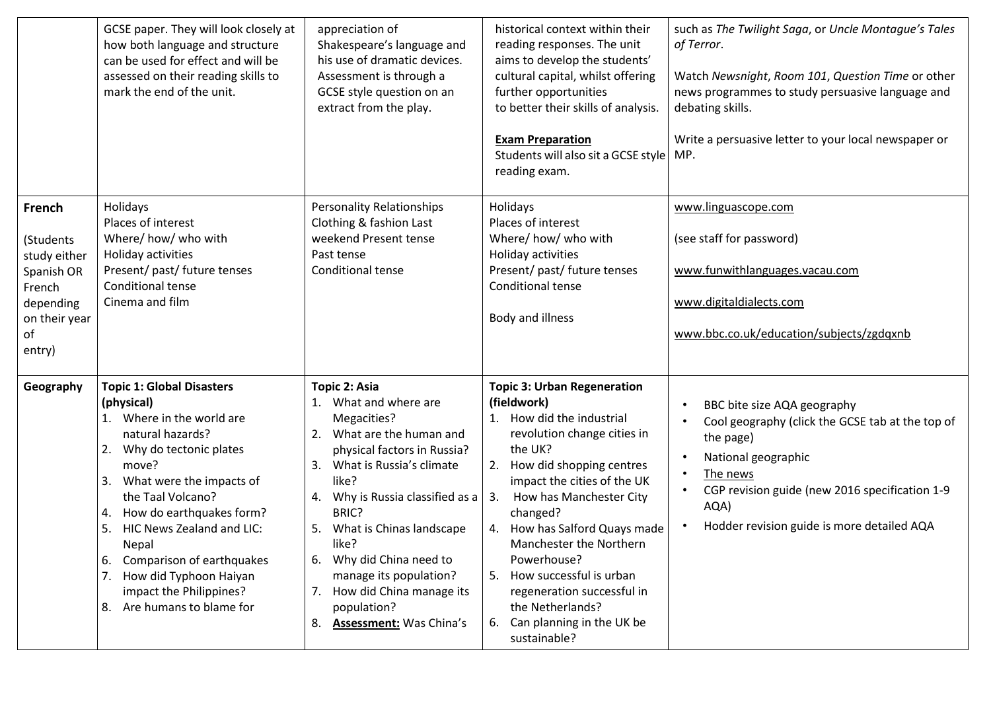|                                                                                                           | GCSE paper. They will look closely at<br>how both language and structure<br>can be used for effect and will be<br>assessed on their reading skills to<br>mark the end of the unit.                                                                                                                                                                                                                  | appreciation of<br>Shakespeare's language and<br>his use of dramatic devices.<br>Assessment is through a<br>GCSE style question on an<br>extract from the play.                                                                                                                                                                                                                           | historical context within their<br>reading responses. The unit<br>aims to develop the students'<br>cultural capital, whilst offering<br>further opportunities<br>to better their skills of analysis.<br><b>Exam Preparation</b><br>Students will also sit a GCSE style<br>reading exam.                                                                                                                                                                 | such as The Twilight Saga, or Uncle Montague's Tales<br>of Terror.<br>Watch Newsnight, Room 101, Question Time or other<br>news programmes to study persuasive language and<br>debating skills.<br>Write a persuasive letter to your local newspaper or<br>MP. |
|-----------------------------------------------------------------------------------------------------------|-----------------------------------------------------------------------------------------------------------------------------------------------------------------------------------------------------------------------------------------------------------------------------------------------------------------------------------------------------------------------------------------------------|-------------------------------------------------------------------------------------------------------------------------------------------------------------------------------------------------------------------------------------------------------------------------------------------------------------------------------------------------------------------------------------------|---------------------------------------------------------------------------------------------------------------------------------------------------------------------------------------------------------------------------------------------------------------------------------------------------------------------------------------------------------------------------------------------------------------------------------------------------------|----------------------------------------------------------------------------------------------------------------------------------------------------------------------------------------------------------------------------------------------------------------|
| French<br>(Students<br>study either<br>Spanish OR<br>French<br>depending<br>on their year<br>of<br>entry) | Holidays<br>Places of interest<br>Where/ how/ who with<br>Holiday activities<br>Present/ past/ future tenses<br>Conditional tense<br>Cinema and film                                                                                                                                                                                                                                                | <b>Personality Relationships</b><br>Clothing & fashion Last<br>weekend Present tense<br>Past tense<br>Conditional tense                                                                                                                                                                                                                                                                   | Holidays<br>Places of interest<br>Where/ how/ who with<br>Holiday activities<br>Present/ past/ future tenses<br>Conditional tense<br>Body and illness                                                                                                                                                                                                                                                                                                   | www.linguascope.com<br>(see staff for password)<br>www.funwithlanguages.vacau.com<br>www.digitaldialects.com<br>www.bbc.co.uk/education/subjects/zgdqxnb                                                                                                       |
| Geography                                                                                                 | <b>Topic 1: Global Disasters</b><br>(physical)<br>1. Where in the world are<br>natural hazards?<br>Why do tectonic plates<br>2.<br>move?<br>What were the impacts of<br>3.<br>the Taal Volcano?<br>How do earthquakes form?<br>4.<br>HIC News Zealand and LIC:<br>5.<br>Nepal<br>6.<br>Comparison of earthquakes<br>How did Typhoon Haiyan<br>impact the Philippines?<br>8. Are humans to blame for | Topic 2: Asia<br>1. What and where are<br>Megacities?<br>2. What are the human and<br>physical factors in Russia?<br>What is Russia's climate<br>3.<br>like?<br>4. Why is Russia classified as a<br>BRIC?<br>What is Chinas landscape<br>5.<br>like?<br>Why did China need to<br>6.<br>manage its population?<br>7. How did China manage its<br>population?<br>8. Assessment: Was China's | <b>Topic 3: Urban Regeneration</b><br>(fieldwork)<br>1. How did the industrial<br>revolution change cities in<br>the UK?<br>How did shopping centres<br>2.<br>impact the cities of the UK<br>How has Manchester City<br>3.<br>changed?<br>How has Salford Quays made<br>4.<br>Manchester the Northern<br>Powerhouse?<br>5. How successful is urban<br>regeneration successful in<br>the Netherlands?<br>Can planning in the UK be<br>6.<br>sustainable? | BBC bite size AQA geography<br>$\bullet$<br>Cool geography (click the GCSE tab at the top of<br>the page)<br>National geographic<br>The news<br>CGP revision guide (new 2016 specification 1-9<br>AQA)<br>Hodder revision guide is more detailed AQA           |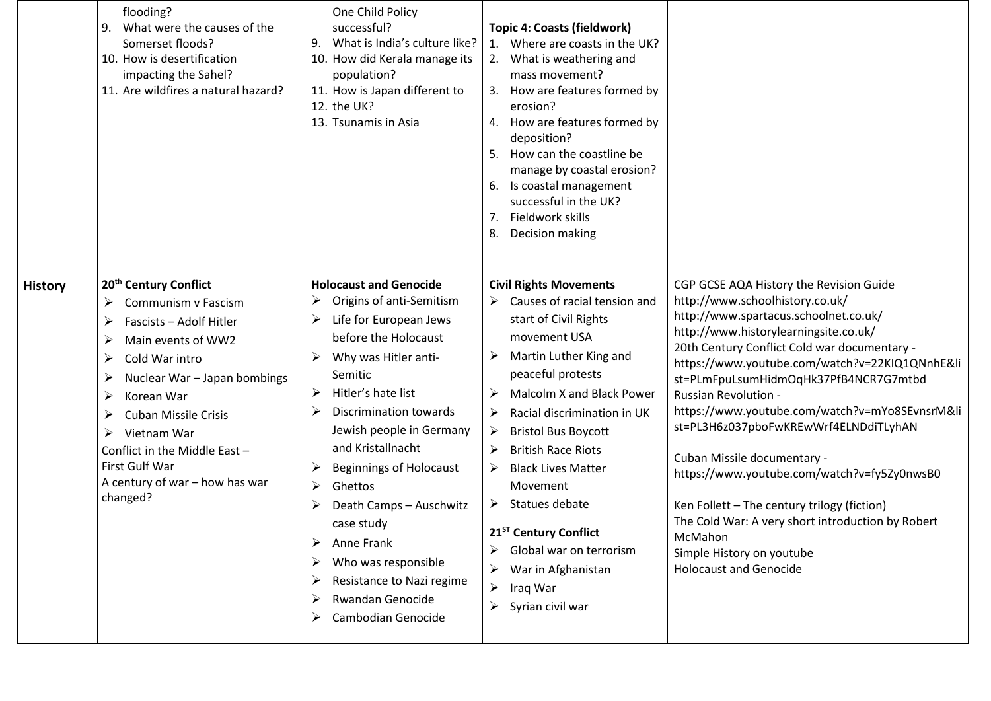|                | flooding?<br>What were the causes of the<br>9.<br>Somerset floods?<br>10. How is desertification<br>impacting the Sahel?<br>11. Are wildfires a natural hazard?                                                                                                                                                                                                  | One Child Policy<br>successful?<br>9. What is India's culture like?<br>10. How did Kerala manage its<br>population?<br>11. How is Japan different to<br>12. the UK?<br>13. Tsunamis in Asia                                                                                                                                                                                                                                                                              | <b>Topic 4: Coasts (fieldwork)</b><br>1. Where are coasts in the UK?<br>2. What is weathering and<br>mass movement?<br>How are features formed by<br>3.<br>erosion?<br>4. How are features formed by<br>deposition?<br>How can the coastline be<br>5.<br>manage by coastal erosion?<br>6. Is coastal management<br>successful in the UK?<br>Fieldwork skills<br>7.<br>Decision making<br>8.                                                                                                                     |                                                                                                                                                                                                                                                                                                                                                                                                                                                                                                                                                                                                                                                                                              |
|----------------|------------------------------------------------------------------------------------------------------------------------------------------------------------------------------------------------------------------------------------------------------------------------------------------------------------------------------------------------------------------|--------------------------------------------------------------------------------------------------------------------------------------------------------------------------------------------------------------------------------------------------------------------------------------------------------------------------------------------------------------------------------------------------------------------------------------------------------------------------|-----------------------------------------------------------------------------------------------------------------------------------------------------------------------------------------------------------------------------------------------------------------------------------------------------------------------------------------------------------------------------------------------------------------------------------------------------------------------------------------------------------------|----------------------------------------------------------------------------------------------------------------------------------------------------------------------------------------------------------------------------------------------------------------------------------------------------------------------------------------------------------------------------------------------------------------------------------------------------------------------------------------------------------------------------------------------------------------------------------------------------------------------------------------------------------------------------------------------|
| <b>History</b> | 20 <sup>th</sup> Century Conflict<br>Communism v Fascism<br>➤<br>Fascists - Adolf Hitler<br>➤<br>Main events of WW2<br>➤<br>Cold War intro<br>➤<br>Nuclear War - Japan bombings<br>➤<br>➤<br>Korean War<br><b>Cuban Missile Crisis</b><br>➤<br>Vietnam War<br>➤<br>Conflict in the Middle East -<br>First Gulf War<br>A century of war - how has war<br>changed? | <b>Holocaust and Genocide</b><br>Origins of anti-Semitism<br>Life for European Jews<br>➤<br>before the Holocaust<br>Why was Hitler anti-<br>Semitic<br>Hitler's hate list<br>➤<br>Discrimination towards<br>Jewish people in Germany<br>and Kristallnacht<br>Beginnings of Holocaust<br>Ghettos<br>➤<br>Death Camps - Auschwitz<br>case study<br>Anne Frank<br>➤<br>Who was responsible<br>Resistance to Nazi regime<br>➤<br>Rwandan Genocide<br>➤<br>Cambodian Genocide | <b>Civil Rights Movements</b><br>Causes of racial tension and<br>➤<br>start of Civil Rights<br>movement USA<br>Martin Luther King and<br>➤<br>peaceful protests<br>Malcolm X and Black Power<br>Racial discrimination in UK<br>➤<br><b>Bristol Bus Boycott</b><br>➤<br><b>British Race Riots</b><br>➤<br><b>Black Lives Matter</b><br>➤<br>Movement<br>Statues debate<br>➤<br>21 <sup>ST</sup> Century Conflict<br>Global war on terrorism<br>➤<br>War in Afghanistan<br>➤<br>Iraq War<br>Syrian civil war<br>➤ | CGP GCSE AQA History the Revision Guide<br>http://www.schoolhistory.co.uk/<br>http://www.spartacus.schoolnet.co.uk/<br>http://www.historylearningsite.co.uk/<br>20th Century Conflict Cold war documentary -<br>https://www.youtube.com/watch?v=22KIQ1QNnhE&li<br>st=PLmFpuLsumHidmOqHk37PfB4NCR7G7mtbd<br><b>Russian Revolution -</b><br>https://www.youtube.com/watch?v=mYo8SEvnsrM&li<br>st=PL3H6z037pboFwKREwWrf4ELNDdiTLyhAN<br>Cuban Missile documentary -<br>https://www.youtube.com/watch?v=fy5Zy0nwsB0<br>Ken Follett - The century trilogy (fiction)<br>The Cold War: A very short introduction by Robert<br>McMahon<br>Simple History on youtube<br><b>Holocaust and Genocide</b> |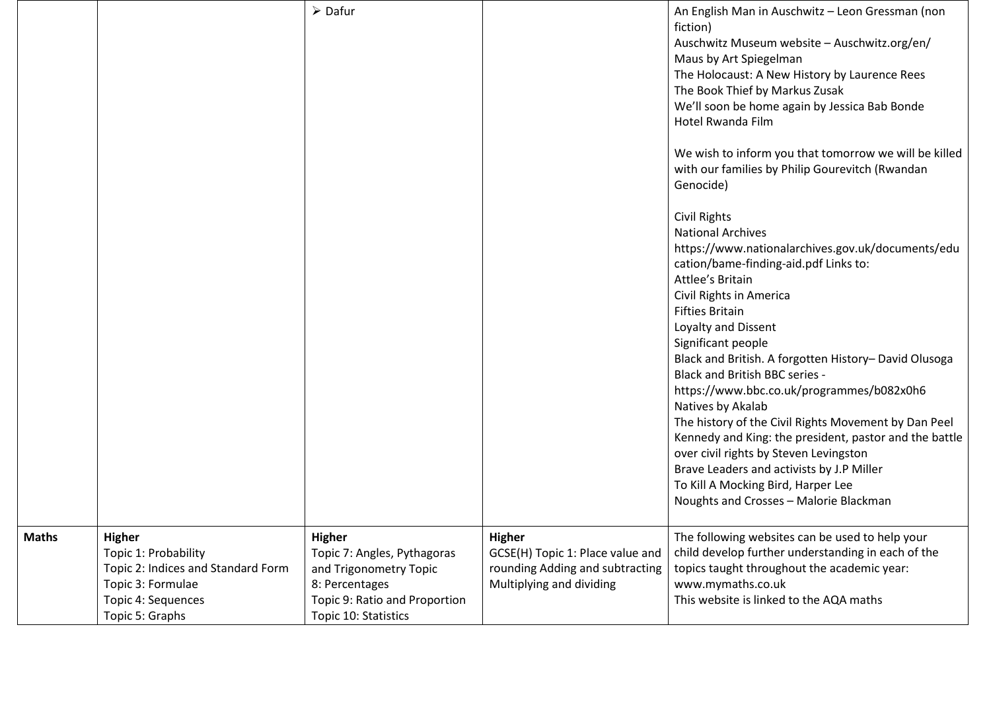|              |                                                                                                                                           | $\triangleright$ Dafur                                                                                                                            |                                                                                                                  | An English Man in Auschwitz - Leon Gressman (non<br>fiction)<br>Auschwitz Museum website - Auschwitz.org/en/<br>Maus by Art Spiegelman<br>The Holocaust: A New History by Laurence Rees<br>The Book Thief by Markus Zusak<br>We'll soon be home again by Jessica Bab Bonde<br>Hotel Rwanda Film<br>We wish to inform you that tomorrow we will be killed<br>with our families by Philip Gourevitch (Rwandan<br>Genocide)<br><b>Civil Rights</b><br><b>National Archives</b><br>https://www.nationalarchives.gov.uk/documents/edu<br>cation/bame-finding-aid.pdf Links to:<br>Attlee's Britain<br>Civil Rights in America<br><b>Fifties Britain</b><br>Loyalty and Dissent<br>Significant people<br>Black and British. A forgotten History- David Olusoga<br><b>Black and British BBC series -</b><br>https://www.bbc.co.uk/programmes/b082x0h6<br>Natives by Akalab<br>The history of the Civil Rights Movement by Dan Peel<br>Kennedy and King: the president, pastor and the battle<br>over civil rights by Steven Levingston<br>Brave Leaders and activists by J.P Miller<br>To Kill A Mocking Bird, Harper Lee<br>Noughts and Crosses - Malorie Blackman |
|--------------|-------------------------------------------------------------------------------------------------------------------------------------------|---------------------------------------------------------------------------------------------------------------------------------------------------|------------------------------------------------------------------------------------------------------------------|--------------------------------------------------------------------------------------------------------------------------------------------------------------------------------------------------------------------------------------------------------------------------------------------------------------------------------------------------------------------------------------------------------------------------------------------------------------------------------------------------------------------------------------------------------------------------------------------------------------------------------------------------------------------------------------------------------------------------------------------------------------------------------------------------------------------------------------------------------------------------------------------------------------------------------------------------------------------------------------------------------------------------------------------------------------------------------------------------------------------------------------------------------------|
| <b>Maths</b> | <b>Higher</b><br>Topic 1: Probability<br>Topic 2: Indices and Standard Form<br>Topic 3: Formulae<br>Topic 4: Sequences<br>Topic 5: Graphs | <b>Higher</b><br>Topic 7: Angles, Pythagoras<br>and Trigonometry Topic<br>8: Percentages<br>Topic 9: Ratio and Proportion<br>Topic 10: Statistics | <b>Higher</b><br>GCSE(H) Topic 1: Place value and<br>rounding Adding and subtracting<br>Multiplying and dividing | The following websites can be used to help your<br>child develop further understanding in each of the<br>topics taught throughout the academic year:<br>www.mymaths.co.uk<br>This website is linked to the AQA maths                                                                                                                                                                                                                                                                                                                                                                                                                                                                                                                                                                                                                                                                                                                                                                                                                                                                                                                                         |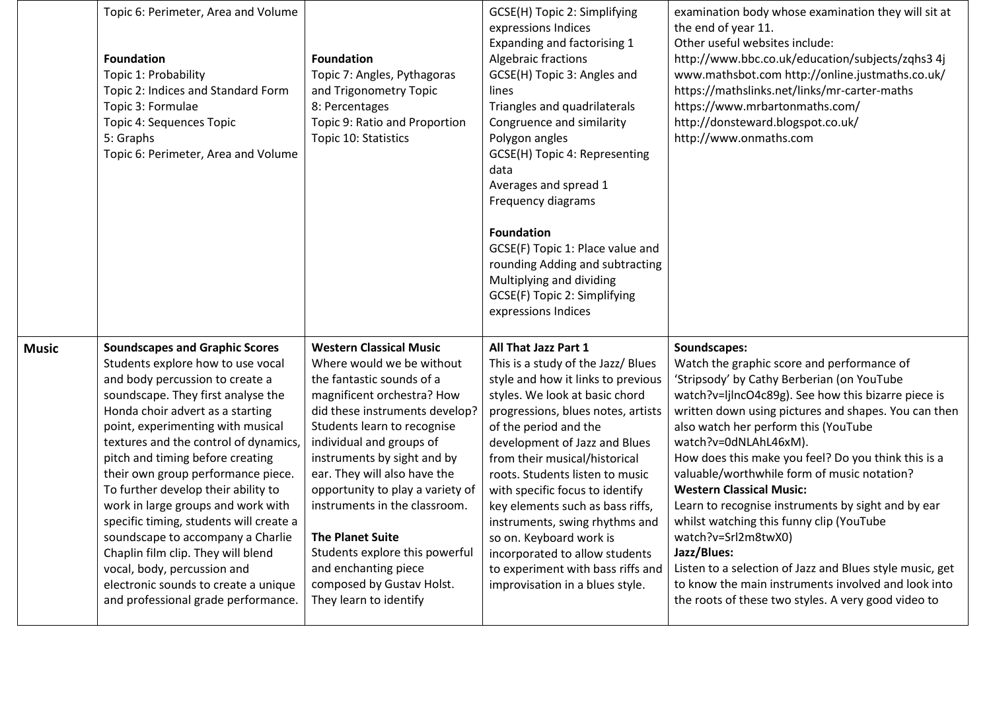|              | Topic 6: Perimeter, Area and Volume<br><b>Foundation</b><br>Topic 1: Probability<br>Topic 2: Indices and Standard Form<br>Topic 3: Formulae<br>Topic 4: Sequences Topic<br>5: Graphs<br>Topic 6: Perimeter, Area and Volume                                                                                                                                                                                                                                                                                                                                                                                                                                      | <b>Foundation</b><br>Topic 7: Angles, Pythagoras<br>and Trigonometry Topic<br>8: Percentages<br>Topic 9: Ratio and Proportion<br>Topic 10: Statistics                                                                                                                                                                                                                                                                                                                                               | GCSE(H) Topic 2: Simplifying<br>expressions Indices<br>Expanding and factorising 1<br>Algebraic fractions<br>GCSE(H) Topic 3: Angles and<br>lines<br>Triangles and quadrilaterals<br>Congruence and similarity<br>Polygon angles<br>GCSE(H) Topic 4: Representing<br>data<br>Averages and spread 1<br>Frequency diagrams<br><b>Foundation</b><br>GCSE(F) Topic 1: Place value and<br>rounding Adding and subtracting<br>Multiplying and dividing<br>GCSE(F) Topic 2: Simplifying<br>expressions Indices                                              | examination body whose examination they will sit at<br>the end of year 11.<br>Other useful websites include:<br>http://www.bbc.co.uk/education/subjects/zqhs3 4j<br>www.mathsbot.com http://online.justmaths.co.uk/<br>https://mathslinks.net/links/mr-carter-maths<br>https://www.mrbartonmaths.com/<br>http://donsteward.blogspot.co.uk/<br>http://www.onmaths.com                                                                                                                                                                                                                                                                                                                                                                                |
|--------------|------------------------------------------------------------------------------------------------------------------------------------------------------------------------------------------------------------------------------------------------------------------------------------------------------------------------------------------------------------------------------------------------------------------------------------------------------------------------------------------------------------------------------------------------------------------------------------------------------------------------------------------------------------------|-----------------------------------------------------------------------------------------------------------------------------------------------------------------------------------------------------------------------------------------------------------------------------------------------------------------------------------------------------------------------------------------------------------------------------------------------------------------------------------------------------|------------------------------------------------------------------------------------------------------------------------------------------------------------------------------------------------------------------------------------------------------------------------------------------------------------------------------------------------------------------------------------------------------------------------------------------------------------------------------------------------------------------------------------------------------|-----------------------------------------------------------------------------------------------------------------------------------------------------------------------------------------------------------------------------------------------------------------------------------------------------------------------------------------------------------------------------------------------------------------------------------------------------------------------------------------------------------------------------------------------------------------------------------------------------------------------------------------------------------------------------------------------------------------------------------------------------|
| <b>Music</b> | <b>Soundscapes and Graphic Scores</b><br>Students explore how to use vocal<br>and body percussion to create a<br>soundscape. They first analyse the<br>Honda choir advert as a starting<br>point, experimenting with musical<br>textures and the control of dynamics,<br>pitch and timing before creating<br>their own group performance piece.<br>To further develop their ability to<br>work in large groups and work with<br>specific timing, students will create a<br>soundscape to accompany a Charlie<br>Chaplin film clip. They will blend<br>vocal, body, percussion and<br>electronic sounds to create a unique<br>and professional grade performance. | <b>Western Classical Music</b><br>Where would we be without<br>the fantastic sounds of a<br>magnificent orchestra? How<br>did these instruments develop?<br>Students learn to recognise<br>individual and groups of<br>instruments by sight and by<br>ear. They will also have the<br>opportunity to play a variety of<br>instruments in the classroom.<br><b>The Planet Suite</b><br>Students explore this powerful<br>and enchanting piece<br>composed by Gustav Holst.<br>They learn to identify | All That Jazz Part 1<br>This is a study of the Jazz/ Blues<br>style and how it links to previous<br>styles. We look at basic chord<br>progressions, blues notes, artists<br>of the period and the<br>development of Jazz and Blues<br>from their musical/historical<br>roots. Students listen to music<br>with specific focus to identify<br>key elements such as bass riffs,<br>instruments, swing rhythms and<br>so on. Keyboard work is<br>incorporated to allow students<br>to experiment with bass riffs and<br>improvisation in a blues style. | Soundscapes:<br>Watch the graphic score and performance of<br>'Stripsody' by Cathy Berberian (on YouTube<br>watch?v=ljlncO4c89g). See how this bizarre piece is<br>written down using pictures and shapes. You can then<br>also watch her perform this (YouTube<br>watch?v=0dNLAhL46xM).<br>How does this make you feel? Do you think this is a<br>valuable/worthwhile form of music notation?<br><b>Western Classical Music:</b><br>Learn to recognise instruments by sight and by ear<br>whilst watching this funny clip (YouTube<br>watch?v=Srl2m8twX0)<br>Jazz/Blues:<br>Listen to a selection of Jazz and Blues style music, get<br>to know the main instruments involved and look into<br>the roots of these two styles. A very good video to |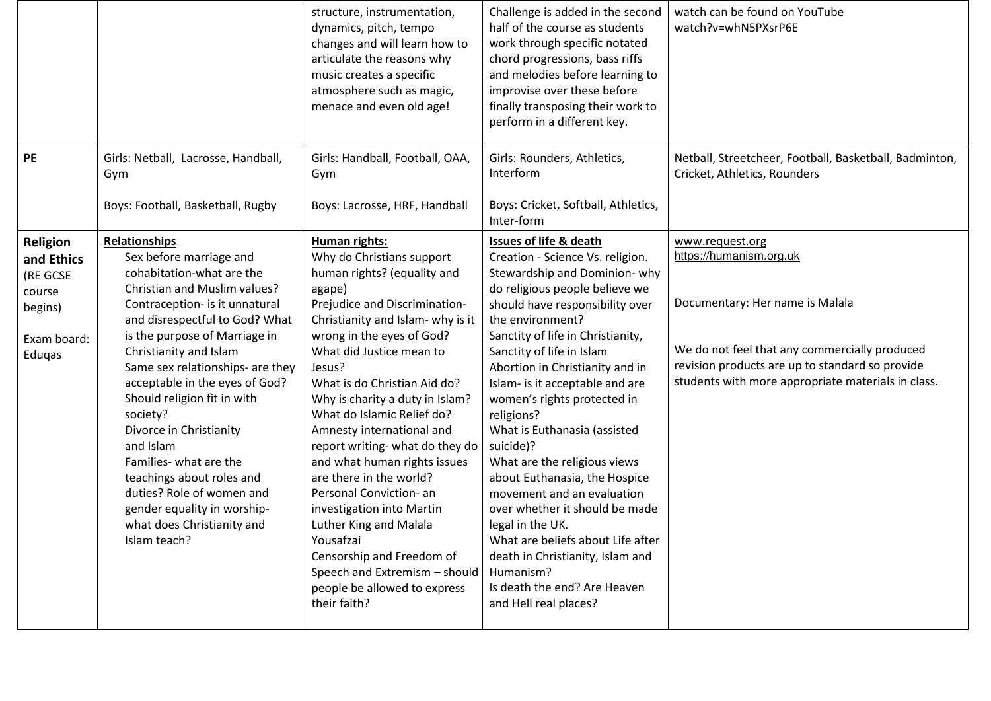|                                                                                  |                                                                                                                                                                                                                                                                                                                                                                                                                                                                                                                                                                       | structure, instrumentation,<br>dynamics, pitch, tempo<br>changes and will learn how to<br>articulate the reasons why<br>music creates a specific<br>atmosphere such as magic,<br>menace and even old age!                                                                                                                                                                                                                                                                                                                                                                                                                                                             | Challenge is added in the second<br>half of the course as students<br>work through specific notated<br>chord progressions, bass riffs<br>and melodies before learning to<br>improvise over these before<br>finally transposing their work to<br>perform in a different key.                                                                                                                                                                                                                                                                                                                                                                                                                                                          | watch can be found on YouTube<br>watch?v=whN5PXsrP6E                                                                                                                                                                                    |
|----------------------------------------------------------------------------------|-----------------------------------------------------------------------------------------------------------------------------------------------------------------------------------------------------------------------------------------------------------------------------------------------------------------------------------------------------------------------------------------------------------------------------------------------------------------------------------------------------------------------------------------------------------------------|-----------------------------------------------------------------------------------------------------------------------------------------------------------------------------------------------------------------------------------------------------------------------------------------------------------------------------------------------------------------------------------------------------------------------------------------------------------------------------------------------------------------------------------------------------------------------------------------------------------------------------------------------------------------------|--------------------------------------------------------------------------------------------------------------------------------------------------------------------------------------------------------------------------------------------------------------------------------------------------------------------------------------------------------------------------------------------------------------------------------------------------------------------------------------------------------------------------------------------------------------------------------------------------------------------------------------------------------------------------------------------------------------------------------------|-----------------------------------------------------------------------------------------------------------------------------------------------------------------------------------------------------------------------------------------|
| <b>PE</b>                                                                        | Girls: Netball, Lacrosse, Handball,<br>Gym<br>Boys: Football, Basketball, Rugby                                                                                                                                                                                                                                                                                                                                                                                                                                                                                       | Girls: Handball, Football, OAA,<br>Gym<br>Boys: Lacrosse, HRF, Handball                                                                                                                                                                                                                                                                                                                                                                                                                                                                                                                                                                                               | Girls: Rounders, Athletics,<br>Interform<br>Boys: Cricket, Softball, Athletics,<br>Inter-form                                                                                                                                                                                                                                                                                                                                                                                                                                                                                                                                                                                                                                        | Netball, Streetcheer, Football, Basketball, Badminton,<br>Cricket, Athletics, Rounders                                                                                                                                                  |
| Religion<br>and Ethics<br>(RE GCSE<br>course<br>begins)<br>Exam board:<br>Eduqas | <b>Relationships</b><br>Sex before marriage and<br>cohabitation-what are the<br>Christian and Muslim values?<br>Contraception- is it unnatural<br>and disrespectful to God? What<br>is the purpose of Marriage in<br>Christianity and Islam<br>Same sex relationships- are they<br>acceptable in the eyes of God?<br>Should religion fit in with<br>society?<br>Divorce in Christianity<br>and Islam<br>Families- what are the<br>teachings about roles and<br>duties? Role of women and<br>gender equality in worship-<br>what does Christianity and<br>Islam teach? | Human rights:<br>Why do Christians support<br>human rights? (equality and<br>agape)<br>Prejudice and Discrimination-<br>Christianity and Islam- why is it<br>wrong in the eyes of God?<br>What did Justice mean to<br>Jesus?<br>What is do Christian Aid do?<br>Why is charity a duty in Islam?<br>What do Islamic Relief do?<br>Amnesty international and<br>report writing- what do they do<br>and what human rights issues<br>are there in the world?<br>Personal Conviction- an<br>investigation into Martin<br>Luther King and Malala<br>Yousafzai<br>Censorship and Freedom of<br>Speech and Extremism - should<br>people be allowed to express<br>their faith? | <b>Issues of life &amp; death</b><br>Creation - Science Vs. religion.<br>Stewardship and Dominion-why<br>do religious people believe we<br>should have responsibility over<br>the environment?<br>Sanctity of life in Christianity,<br>Sanctity of life in Islam<br>Abortion in Christianity and in<br>Islam- is it acceptable and are<br>women's rights protected in<br>religions?<br>What is Euthanasia (assisted<br>suicide)?<br>What are the religious views<br>about Euthanasia, the Hospice<br>movement and an evaluation<br>over whether it should be made<br>legal in the UK.<br>What are beliefs about Life after<br>death in Christianity, Islam and<br>Humanism?<br>Is death the end? Are Heaven<br>and Hell real places? | www.request.org<br>https://humanism.org.uk<br>Documentary: Her name is Malala<br>We do not feel that any commercially produced<br>revision products are up to standard so provide<br>students with more appropriate materials in class. |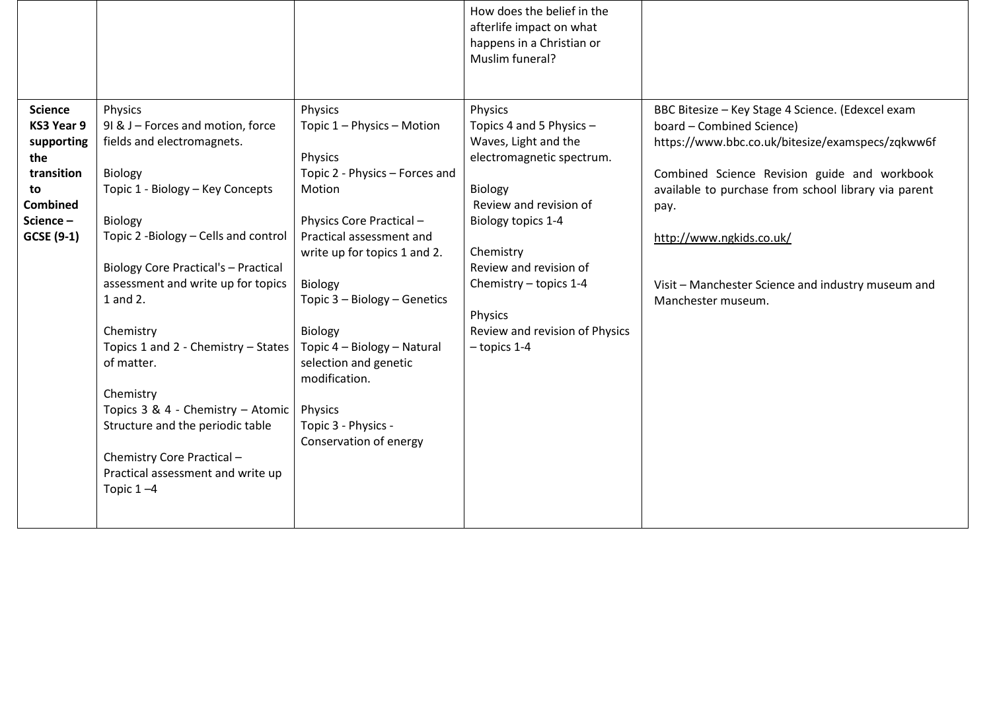|                                                                                                                           |                                                                                                                                                                                                                                                                                                                                                                                                                                                                                                                           |                                                                                                                                                                                                                                                                                                                                                                                        | How does the belief in the<br>afterlife impact on what<br>happens in a Christian or<br>Muslim funeral?                                                                                                                                                                                       |                                                                                                                                                                                                                                                                                                                                                            |
|---------------------------------------------------------------------------------------------------------------------------|---------------------------------------------------------------------------------------------------------------------------------------------------------------------------------------------------------------------------------------------------------------------------------------------------------------------------------------------------------------------------------------------------------------------------------------------------------------------------------------------------------------------------|----------------------------------------------------------------------------------------------------------------------------------------------------------------------------------------------------------------------------------------------------------------------------------------------------------------------------------------------------------------------------------------|----------------------------------------------------------------------------------------------------------------------------------------------------------------------------------------------------------------------------------------------------------------------------------------------|------------------------------------------------------------------------------------------------------------------------------------------------------------------------------------------------------------------------------------------------------------------------------------------------------------------------------------------------------------|
| <b>Science</b><br>KS3 Year 9<br>supporting<br>the<br>transition<br>to<br><b>Combined</b><br>Science-<br><b>GCSE (9-1)</b> | Physics<br>91 & J - Forces and motion, force<br>fields and electromagnets.<br>Biology<br>Topic 1 - Biology - Key Concepts<br>Biology<br>Topic 2 -Biology - Cells and control<br><b>Biology Core Practical's - Practical</b><br>assessment and write up for topics<br>1 and 2.<br>Chemistry<br>Topics 1 and 2 - Chemistry - States<br>of matter.<br>Chemistry<br>Topics 3 & 4 - Chemistry - Atomic<br>Structure and the periodic table<br>Chemistry Core Practical -<br>Practical assessment and write up<br>Topic $1 - 4$ | Physics<br>Topic 1 - Physics - Motion<br>Physics<br>Topic 2 - Physics - Forces and<br>Motion<br>Physics Core Practical -<br>Practical assessment and<br>write up for topics 1 and 2.<br>Biology<br>Topic 3 - Biology - Genetics<br><b>Biology</b><br>Topic 4 - Biology - Natural<br>selection and genetic<br>modification.<br>Physics<br>Topic 3 - Physics -<br>Conservation of energy | Physics<br>Topics 4 and 5 Physics -<br>Waves, Light and the<br>electromagnetic spectrum.<br><b>Biology</b><br>Review and revision of<br>Biology topics 1-4<br>Chemistry<br>Review and revision of<br>Chemistry $-$ topics 1-4<br>Physics<br>Review and revision of Physics<br>$-$ topics 1-4 | BBC Bitesize - Key Stage 4 Science. (Edexcel exam<br>board - Combined Science)<br>https://www.bbc.co.uk/bitesize/examspecs/zqkww6f<br>Combined Science Revision guide and workbook<br>available to purchase from school library via parent<br>pay.<br>http://www.ngkids.co.uk/<br>Visit - Manchester Science and industry museum and<br>Manchester museum. |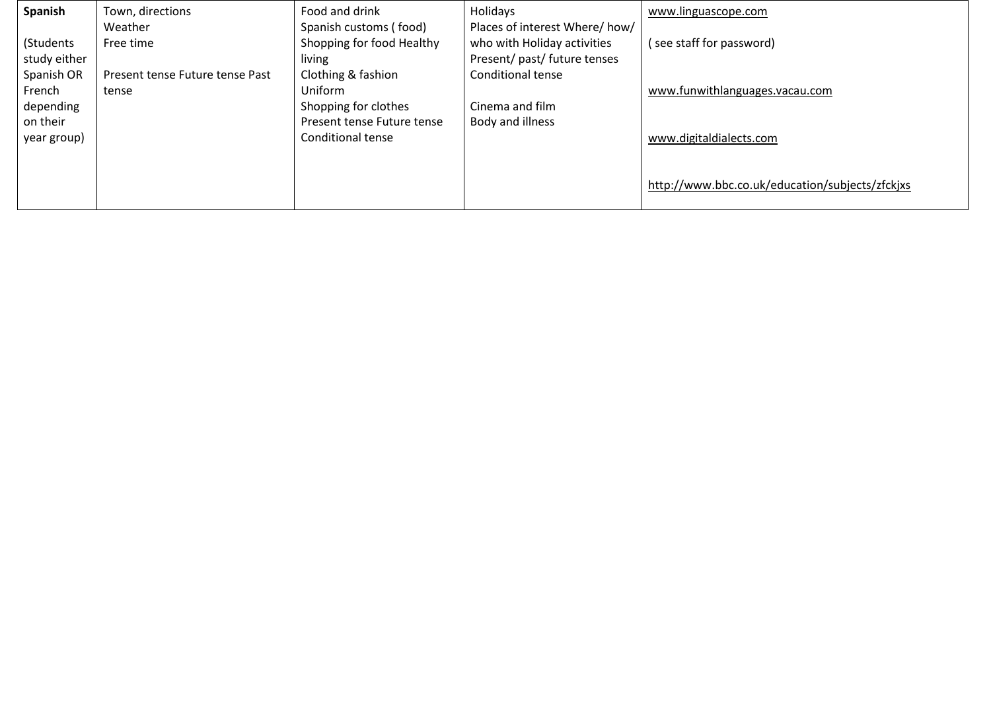| Spanish                           | Town, directions<br>Weather              | Food and drink<br>Spanish customs (food)                     | Holidays<br>Places of interest Where/how/                   | www.linguascope.com                             |
|-----------------------------------|------------------------------------------|--------------------------------------------------------------|-------------------------------------------------------------|-------------------------------------------------|
| (Students<br>study either         | Free time                                | Shopping for food Healthy<br>living                          | who with Holiday activities<br>Present/ past/ future tenses | (see staff for password)                        |
| Spanish OR<br>French<br>depending | Present tense Future tense Past<br>tense | Clothing & fashion<br><b>Uniform</b><br>Shopping for clothes | <b>Conditional tense</b><br>Cinema and film                 | www.funwithlanguages.vacau.com                  |
| on their<br>year group)           |                                          | Present tense Future tense<br>Conditional tense              | Body and illness                                            | www.digitaldialects.com                         |
|                                   |                                          |                                                              |                                                             | http://www.bbc.co.uk/education/subjects/zfckjxs |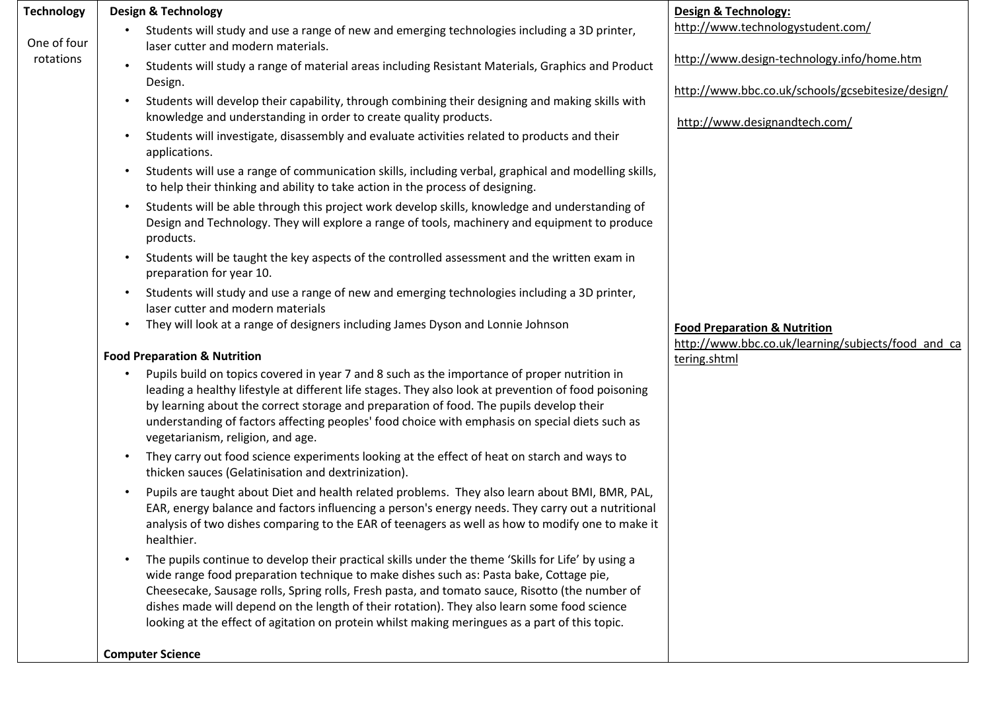| <b>Technology</b> | <b>Design &amp; Technology</b>                                                                                                                                                                                                                                                                                                                                                                                                                                                                  | Design & Technology:                                                                          |
|-------------------|-------------------------------------------------------------------------------------------------------------------------------------------------------------------------------------------------------------------------------------------------------------------------------------------------------------------------------------------------------------------------------------------------------------------------------------------------------------------------------------------------|-----------------------------------------------------------------------------------------------|
| One of four       | Students will study and use a range of new and emerging technologies including a 3D printer,<br>$\bullet$<br>laser cutter and modern materials.                                                                                                                                                                                                                                                                                                                                                 | http://www.technologystudent.com/                                                             |
| rotations         | Students will study a range of material areas including Resistant Materials, Graphics and Product<br>Design.                                                                                                                                                                                                                                                                                                                                                                                    | http://www.design-technology.info/home.htm                                                    |
|                   | Students will develop their capability, through combining their designing and making skills with<br>knowledge and understanding in order to create quality products.                                                                                                                                                                                                                                                                                                                            | http://www.bbc.co.uk/schools/gcsebitesize/design/<br>http://www.designandtech.com/            |
|                   | Students will investigate, disassembly and evaluate activities related to products and their<br>applications.                                                                                                                                                                                                                                                                                                                                                                                   |                                                                                               |
|                   | Students will use a range of communication skills, including verbal, graphical and modelling skills,<br>$\bullet$<br>to help their thinking and ability to take action in the process of designing.                                                                                                                                                                                                                                                                                             |                                                                                               |
|                   | Students will be able through this project work develop skills, knowledge and understanding of<br>Design and Technology. They will explore a range of tools, machinery and equipment to produce<br>products.                                                                                                                                                                                                                                                                                    |                                                                                               |
|                   | Students will be taught the key aspects of the controlled assessment and the written exam in<br>$\bullet$<br>preparation for year 10.                                                                                                                                                                                                                                                                                                                                                           |                                                                                               |
|                   | Students will study and use a range of new and emerging technologies including a 3D printer,<br>$\bullet$<br>laser cutter and modern materials                                                                                                                                                                                                                                                                                                                                                  |                                                                                               |
|                   | They will look at a range of designers including James Dyson and Lonnie Johnson                                                                                                                                                                                                                                                                                                                                                                                                                 | <b>Food Preparation &amp; Nutrition</b><br>http://www.bbc.co.uk/learning/subjects/food and ca |
|                   | <b>Food Preparation &amp; Nutrition</b>                                                                                                                                                                                                                                                                                                                                                                                                                                                         | tering.shtml                                                                                  |
|                   | Pupils build on topics covered in year 7 and 8 such as the importance of proper nutrition in<br>leading a healthy lifestyle at different life stages. They also look at prevention of food poisoning<br>by learning about the correct storage and preparation of food. The pupils develop their<br>understanding of factors affecting peoples' food choice with emphasis on special diets such as<br>vegetarianism, religion, and age.                                                          |                                                                                               |
|                   | They carry out food science experiments looking at the effect of heat on starch and ways to<br>$\bullet$<br>thicken sauces (Gelatinisation and dextrinization).                                                                                                                                                                                                                                                                                                                                 |                                                                                               |
|                   | Pupils are taught about Diet and health related problems. They also learn about BMI, BMR, PAL,<br>$\bullet$<br>EAR, energy balance and factors influencing a person's energy needs. They carry out a nutritional<br>analysis of two dishes comparing to the EAR of teenagers as well as how to modify one to make it<br>healthier.                                                                                                                                                              |                                                                                               |
|                   | The pupils continue to develop their practical skills under the theme 'Skills for Life' by using a<br>wide range food preparation technique to make dishes such as: Pasta bake, Cottage pie,<br>Cheesecake, Sausage rolls, Spring rolls, Fresh pasta, and tomato sauce, Risotto (the number of<br>dishes made will depend on the length of their rotation). They also learn some food science<br>looking at the effect of agitation on protein whilst making meringues as a part of this topic. |                                                                                               |
|                   | <b>Computer Science</b>                                                                                                                                                                                                                                                                                                                                                                                                                                                                         |                                                                                               |